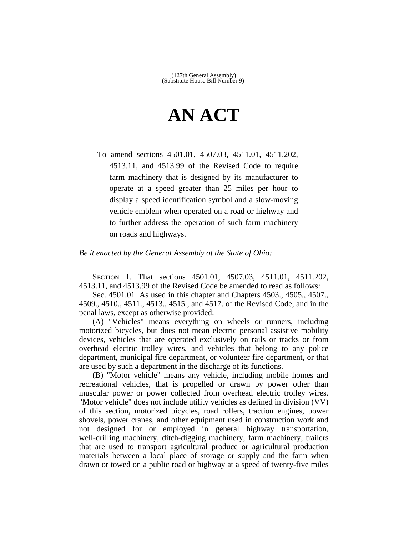## **AN ACT**

To amend sections 4501.01, 4507.03, 4511.01, 4511.202, 4513.11, and 4513.99 of the Revised Code to require farm machinery that is designed by its manufacturer to operate at a speed greater than 25 miles per hour to display a speed identification symbol and a slow-moving vehicle emblem when operated on a road or highway and to further address the operation of such farm machinery on roads and highways.

*Be it enacted by the General Assembly of the State of Ohio:*

SECTION 1. That sections 4501.01, 4507.03, 4511.01, 4511.202, 4513.11, and 4513.99 of the Revised Code be amended to read as follows:

Sec. 4501.01. As used in this chapter and Chapters 4503., 4505., 4507., 4509., 4510., 4511., 4513., 4515., and 4517. of the Revised Code, and in the penal laws, except as otherwise provided:

(A) "Vehicles" means everything on wheels or runners, including motorized bicycles, but does not mean electric personal assistive mobility devices, vehicles that are operated exclusively on rails or tracks or from overhead electric trolley wires, and vehicles that belong to any police department, municipal fire department, or volunteer fire department, or that are used by such a department in the discharge of its functions.

(B) "Motor vehicle" means any vehicle, including mobile homes and recreational vehicles, that is propelled or drawn by power other than muscular power or power collected from overhead electric trolley wires. "Motor vehicle" does not include utility vehicles as defined in division (VV) of this section, motorized bicycles, road rollers, traction engines, power shovels, power cranes, and other equipment used in construction work and not designed for or employed in general highway transportation, well-drilling machinery, ditch-digging machinery, farm machinery, trailers that are used to transport agricultural produce or agricultural production materials between a local place of storage or supply and the farm when drawn or towed on a public road or highway at a speed of twenty-five miles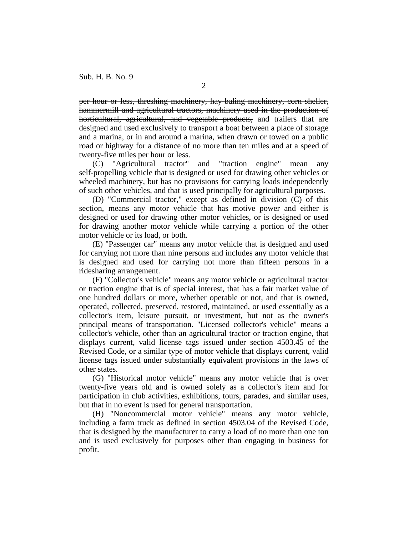per hour or less, threshing machinery, hay-baling machinery, corn sheller, hammermill and agricultural tractors, machinery used in the production of horticultural, agricultural, and vegetable products, and trailers that are designed and used exclusively to transport a boat between a place of storage and a marina, or in and around a marina, when drawn or towed on a public road or highway for a distance of no more than ten miles and at a speed of twenty-five miles per hour or less.

(C) "Agricultural tractor" and "traction engine" mean any self-propelling vehicle that is designed or used for drawing other vehicles or wheeled machinery, but has no provisions for carrying loads independently of such other vehicles, and that is used principally for agricultural purposes.

(D) "Commercial tractor," except as defined in division (C) of this section, means any motor vehicle that has motive power and either is designed or used for drawing other motor vehicles, or is designed or used for drawing another motor vehicle while carrying a portion of the other motor vehicle or its load, or both.

(E) "Passenger car" means any motor vehicle that is designed and used for carrying not more than nine persons and includes any motor vehicle that is designed and used for carrying not more than fifteen persons in a ridesharing arrangement.

(F) "Collector's vehicle" means any motor vehicle or agricultural tractor or traction engine that is of special interest, that has a fair market value of one hundred dollars or more, whether operable or not, and that is owned, operated, collected, preserved, restored, maintained, or used essentially as a collector's item, leisure pursuit, or investment, but not as the owner's principal means of transportation. "Licensed collector's vehicle" means a collector's vehicle, other than an agricultural tractor or traction engine, that displays current, valid license tags issued under section 4503.45 of the Revised Code, or a similar type of motor vehicle that displays current, valid license tags issued under substantially equivalent provisions in the laws of other states.

(G) "Historical motor vehicle" means any motor vehicle that is over twenty-five years old and is owned solely as a collector's item and for participation in club activities, exhibitions, tours, parades, and similar uses, but that in no event is used for general transportation.

(H) "Noncommercial motor vehicle" means any motor vehicle, including a farm truck as defined in section 4503.04 of the Revised Code, that is designed by the manufacturer to carry a load of no more than one ton and is used exclusively for purposes other than engaging in business for profit.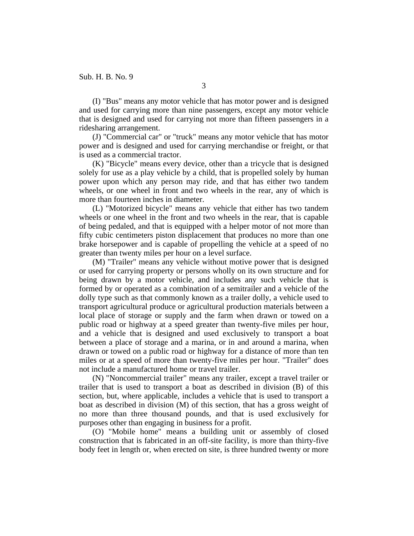(I) "Bus" means any motor vehicle that has motor power and is designed and used for carrying more than nine passengers, except any motor vehicle that is designed and used for carrying not more than fifteen passengers in a ridesharing arrangement.

(J) "Commercial car" or "truck" means any motor vehicle that has motor power and is designed and used for carrying merchandise or freight, or that is used as a commercial tractor.

(K) "Bicycle" means every device, other than a tricycle that is designed solely for use as a play vehicle by a child, that is propelled solely by human power upon which any person may ride, and that has either two tandem wheels, or one wheel in front and two wheels in the rear, any of which is more than fourteen inches in diameter.

(L) "Motorized bicycle" means any vehicle that either has two tandem wheels or one wheel in the front and two wheels in the rear, that is capable of being pedaled, and that is equipped with a helper motor of not more than fifty cubic centimeters piston displacement that produces no more than one brake horsepower and is capable of propelling the vehicle at a speed of no greater than twenty miles per hour on a level surface.

(M) "Trailer" means any vehicle without motive power that is designed or used for carrying property or persons wholly on its own structure and for being drawn by a motor vehicle, and includes any such vehicle that is formed by or operated as a combination of a semitrailer and a vehicle of the dolly type such as that commonly known as a trailer dolly, a vehicle used to transport agricultural produce or agricultural production materials between a local place of storage or supply and the farm when drawn or towed on a public road or highway at a speed greater than twenty-five miles per hour, and a vehicle that is designed and used exclusively to transport a boat between a place of storage and a marina, or in and around a marina, when drawn or towed on a public road or highway for a distance of more than ten miles or at a speed of more than twenty-five miles per hour. "Trailer" does not include a manufactured home or travel trailer.

(N) "Noncommercial trailer" means any trailer, except a travel trailer or trailer that is used to transport a boat as described in division (B) of this section, but, where applicable, includes a vehicle that is used to transport a boat as described in division (M) of this section, that has a gross weight of no more than three thousand pounds, and that is used exclusively for purposes other than engaging in business for a profit.

(O) "Mobile home" means a building unit or assembly of closed construction that is fabricated in an off-site facility, is more than thirty-five body feet in length or, when erected on site, is three hundred twenty or more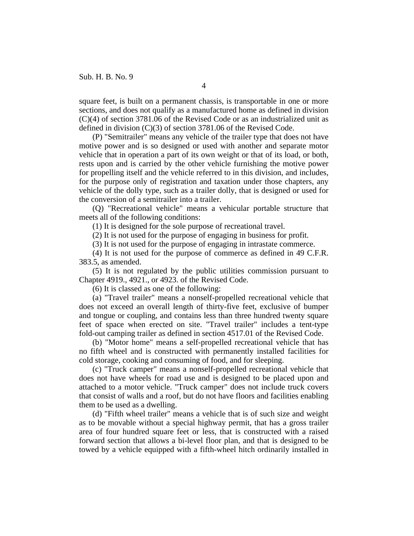square feet, is built on a permanent chassis, is transportable in one or more sections, and does not qualify as a manufactured home as defined in division (C)(4) of section 3781.06 of the Revised Code or as an industrialized unit as defined in division (C)(3) of section 3781.06 of the Revised Code.

(P) "Semitrailer" means any vehicle of the trailer type that does not have motive power and is so designed or used with another and separate motor vehicle that in operation a part of its own weight or that of its load, or both, rests upon and is carried by the other vehicle furnishing the motive power for propelling itself and the vehicle referred to in this division, and includes, for the purpose only of registration and taxation under those chapters, any vehicle of the dolly type, such as a trailer dolly, that is designed or used for the conversion of a semitrailer into a trailer.

(Q) "Recreational vehicle" means a vehicular portable structure that meets all of the following conditions:

(1) It is designed for the sole purpose of recreational travel.

(2) It is not used for the purpose of engaging in business for profit.

(3) It is not used for the purpose of engaging in intrastate commerce.

(4) It is not used for the purpose of commerce as defined in 49 C.F.R. 383.5, as amended.

(5) It is not regulated by the public utilities commission pursuant to Chapter 4919., 4921., or 4923. of the Revised Code.

(6) It is classed as one of the following:

(a) "Travel trailer" means a nonself-propelled recreational vehicle that does not exceed an overall length of thirty-five feet, exclusive of bumper and tongue or coupling, and contains less than three hundred twenty square feet of space when erected on site. "Travel trailer" includes a tent-type fold-out camping trailer as defined in section 4517.01 of the Revised Code.

(b) "Motor home" means a self-propelled recreational vehicle that has no fifth wheel and is constructed with permanently installed facilities for cold storage, cooking and consuming of food, and for sleeping.

(c) "Truck camper" means a nonself-propelled recreational vehicle that does not have wheels for road use and is designed to be placed upon and attached to a motor vehicle. "Truck camper" does not include truck covers that consist of walls and a roof, but do not have floors and facilities enabling them to be used as a dwelling.

(d) "Fifth wheel trailer" means a vehicle that is of such size and weight as to be movable without a special highway permit, that has a gross trailer area of four hundred square feet or less, that is constructed with a raised forward section that allows a bi-level floor plan, and that is designed to be towed by a vehicle equipped with a fifth-wheel hitch ordinarily installed in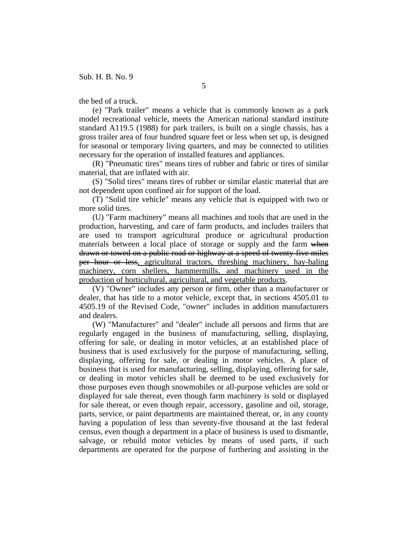the bed of a truck.

(e) "Park trailer" means a vehicle that is commonly known as a park model recreational vehicle, meets the American national standard institute standard A119.5 (1988) for park trailers, is built on a single chassis, has a gross trailer area of four hundred square feet or less when set up, is designed for seasonal or temporary living quarters, and may be connected to utilities necessary for the operation of installed features and appliances.

(R) "Pneumatic tires" means tires of rubber and fabric or tires of similar material, that are inflated with air.

(S) "Solid tires" means tires of rubber or similar elastic material that are not dependent upon confined air for support of the load.

(T) "Solid tire vehicle" means any vehicle that is equipped with two or more solid tires.

(U) "Farm machinery" means all machines and tools that are used in the production, harvesting, and care of farm products, and includes trailers that are used to transport agricultural produce or agricultural production materials between a local place of storage or supply and the farm when drawn or towed on a public road or highway at a speed of twenty-five miles per hour or less, agricultural tractors, threshing machinery, hay-baling machinery, corn shellers, hammermills, and machinery used in the production of horticultural, agricultural, and vegetable products.

(V) "Owner" includes any person or firm, other than a manufacturer or dealer, that has title to a motor vehicle, except that, in sections 4505.01 to 4505.19 of the Revised Code, "owner" includes in addition manufacturers and dealers.

(W) "Manufacturer" and "dealer" include all persons and firms that are regularly engaged in the business of manufacturing, selling, displaying, offering for sale, or dealing in motor vehicles, at an established place of business that is used exclusively for the purpose of manufacturing, selling, displaying, offering for sale, or dealing in motor vehicles. A place of business that is used for manufacturing, selling, displaying, offering for sale, or dealing in motor vehicles shall be deemed to be used exclusively for those purposes even though snowmobiles or all-purpose vehicles are sold or displayed for sale thereat, even though farm machinery is sold or displayed for sale thereat, or even though repair, accessory, gasoline and oil, storage, parts, service, or paint departments are maintained thereat, or, in any county having a population of less than seventy-five thousand at the last federal census, even though a department in a place of business is used to dismantle, salvage, or rebuild motor vehicles by means of used parts, if such departments are operated for the purpose of furthering and assisting in the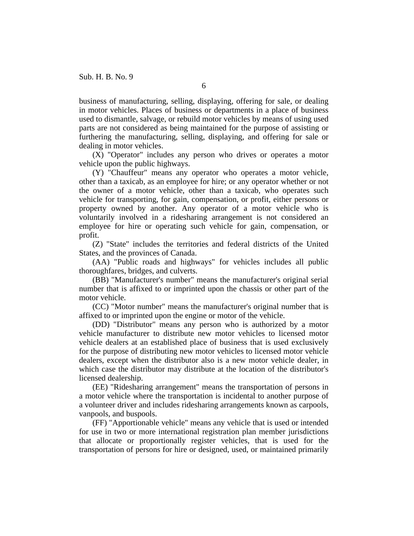business of manufacturing, selling, displaying, offering for sale, or dealing in motor vehicles. Places of business or departments in a place of business used to dismantle, salvage, or rebuild motor vehicles by means of using used parts are not considered as being maintained for the purpose of assisting or furthering the manufacturing, selling, displaying, and offering for sale or dealing in motor vehicles.

(X) "Operator" includes any person who drives or operates a motor vehicle upon the public highways.

(Y) "Chauffeur" means any operator who operates a motor vehicle, other than a taxicab, as an employee for hire; or any operator whether or not the owner of a motor vehicle, other than a taxicab, who operates such vehicle for transporting, for gain, compensation, or profit, either persons or property owned by another. Any operator of a motor vehicle who is voluntarily involved in a ridesharing arrangement is not considered an employee for hire or operating such vehicle for gain, compensation, or profit.

(Z) "State" includes the territories and federal districts of the United States, and the provinces of Canada.

(AA) "Public roads and highways" for vehicles includes all public thoroughfares, bridges, and culverts.

(BB) "Manufacturer's number" means the manufacturer's original serial number that is affixed to or imprinted upon the chassis or other part of the motor vehicle.

(CC) "Motor number" means the manufacturer's original number that is affixed to or imprinted upon the engine or motor of the vehicle.

(DD) "Distributor" means any person who is authorized by a motor vehicle manufacturer to distribute new motor vehicles to licensed motor vehicle dealers at an established place of business that is used exclusively for the purpose of distributing new motor vehicles to licensed motor vehicle dealers, except when the distributor also is a new motor vehicle dealer, in which case the distributor may distribute at the location of the distributor's licensed dealership.

(EE) "Ridesharing arrangement" means the transportation of persons in a motor vehicle where the transportation is incidental to another purpose of a volunteer driver and includes ridesharing arrangements known as carpools, vanpools, and buspools.

(FF) "Apportionable vehicle" means any vehicle that is used or intended for use in two or more international registration plan member jurisdictions that allocate or proportionally register vehicles, that is used for the transportation of persons for hire or designed, used, or maintained primarily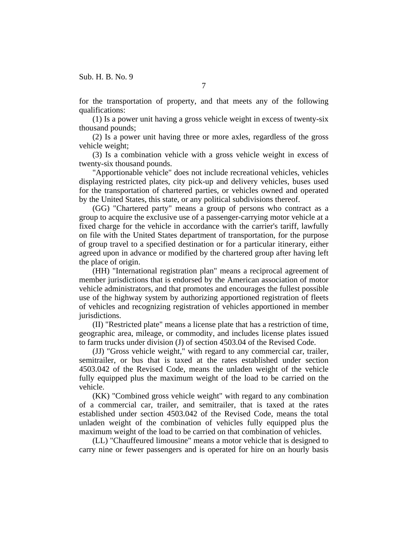for the transportation of property, and that meets any of the following qualifications:

(1) Is a power unit having a gross vehicle weight in excess of twenty-six thousand pounds;

(2) Is a power unit having three or more axles, regardless of the gross vehicle weight;

(3) Is a combination vehicle with a gross vehicle weight in excess of twenty-six thousand pounds.

"Apportionable vehicle" does not include recreational vehicles, vehicles displaying restricted plates, city pick-up and delivery vehicles, buses used for the transportation of chartered parties, or vehicles owned and operated by the United States, this state, or any political subdivisions thereof.

(GG) "Chartered party" means a group of persons who contract as a group to acquire the exclusive use of a passenger-carrying motor vehicle at a fixed charge for the vehicle in accordance with the carrier's tariff, lawfully on file with the United States department of transportation, for the purpose of group travel to a specified destination or for a particular itinerary, either agreed upon in advance or modified by the chartered group after having left the place of origin.

(HH) "International registration plan" means a reciprocal agreement of member jurisdictions that is endorsed by the American association of motor vehicle administrators, and that promotes and encourages the fullest possible use of the highway system by authorizing apportioned registration of fleets of vehicles and recognizing registration of vehicles apportioned in member jurisdictions.

(II) "Restricted plate" means a license plate that has a restriction of time, geographic area, mileage, or commodity, and includes license plates issued to farm trucks under division (J) of section 4503.04 of the Revised Code.

(JJ) "Gross vehicle weight," with regard to any commercial car, trailer, semitrailer, or bus that is taxed at the rates established under section 4503.042 of the Revised Code, means the unladen weight of the vehicle fully equipped plus the maximum weight of the load to be carried on the vehicle.

(KK) "Combined gross vehicle weight" with regard to any combination of a commercial car, trailer, and semitrailer, that is taxed at the rates established under section 4503.042 of the Revised Code, means the total unladen weight of the combination of vehicles fully equipped plus the maximum weight of the load to be carried on that combination of vehicles.

(LL) "Chauffeured limousine" means a motor vehicle that is designed to carry nine or fewer passengers and is operated for hire on an hourly basis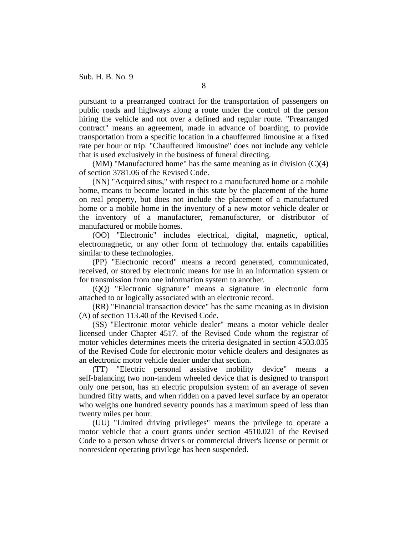pursuant to a prearranged contract for the transportation of passengers on public roads and highways along a route under the control of the person hiring the vehicle and not over a defined and regular route. "Prearranged contract" means an agreement, made in advance of boarding, to provide transportation from a specific location in a chauffeured limousine at a fixed rate per hour or trip. "Chauffeured limousine" does not include any vehicle that is used exclusively in the business of funeral directing.

(MM) "Manufactured home" has the same meaning as in division (C)(4) of section 3781.06 of the Revised Code.

(NN) "Acquired situs," with respect to a manufactured home or a mobile home, means to become located in this state by the placement of the home on real property, but does not include the placement of a manufactured home or a mobile home in the inventory of a new motor vehicle dealer or the inventory of a manufacturer, remanufacturer, or distributor of manufactured or mobile homes.

(OO) "Electronic" includes electrical, digital, magnetic, optical, electromagnetic, or any other form of technology that entails capabilities similar to these technologies.

(PP) "Electronic record" means a record generated, communicated, received, or stored by electronic means for use in an information system or for transmission from one information system to another.

(QQ) "Electronic signature" means a signature in electronic form attached to or logically associated with an electronic record.

(RR) "Financial transaction device" has the same meaning as in division (A) of section 113.40 of the Revised Code.

(SS) "Electronic motor vehicle dealer" means a motor vehicle dealer licensed under Chapter 4517. of the Revised Code whom the registrar of motor vehicles determines meets the criteria designated in section 4503.035 of the Revised Code for electronic motor vehicle dealers and designates as an electronic motor vehicle dealer under that section.

(TT) "Electric personal assistive mobility device" means a self-balancing two non-tandem wheeled device that is designed to transport only one person, has an electric propulsion system of an average of seven hundred fifty watts, and when ridden on a paved level surface by an operator who weighs one hundred seventy pounds has a maximum speed of less than twenty miles per hour.

(UU) "Limited driving privileges" means the privilege to operate a motor vehicle that a court grants under section 4510.021 of the Revised Code to a person whose driver's or commercial driver's license or permit or nonresident operating privilege has been suspended.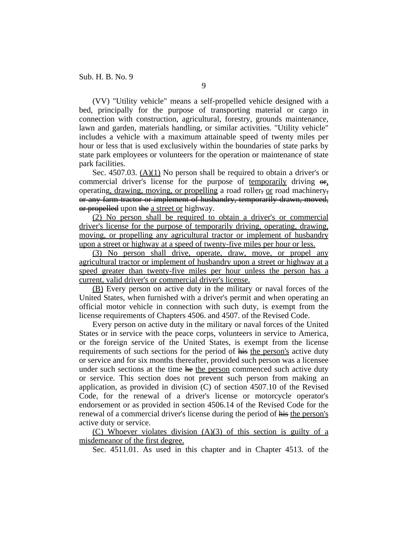(VV) "Utility vehicle" means a self-propelled vehicle designed with a bed, principally for the purpose of transporting material or cargo in connection with construction, agricultural, forestry, grounds maintenance, lawn and garden, materials handling, or similar activities. "Utility vehicle" includes a vehicle with a maximum attainable speed of twenty miles per hour or less that is used exclusively within the boundaries of state parks by state park employees or volunteers for the operation or maintenance of state park facilities.

Sec. 4507.03. (A)(1) No person shall be required to obtain a driver's or commercial driver's license for the purpose of temporarily driving  $\Theta$ . operating, drawing, moving, or propelling a road roller, or road machinery, or any farm tractor or implement of husbandry, temporarily drawn, moved, or propelled upon the a street or highway.

(2) No person shall be required to obtain a driver's or commercial driver's license for the purpose of temporarily driving, operating, drawing, moving, or propelling any agricultural tractor or implement of husbandry upon a street or highway at a speed of twenty-five miles per hour or less.

(3) No person shall drive, operate, draw, move, or propel any agricultural tractor or implement of husbandry upon a street or highway at a speed greater than twenty-five miles per hour unless the person has a current, valid driver's or commercial driver's license.

(B) Every person on active duty in the military or naval forces of the United States, when furnished with a driver's permit and when operating an official motor vehicle in connection with such duty, is exempt from the license requirements of Chapters 4506. and 4507. of the Revised Code.

Every person on active duty in the military or naval forces of the United States or in service with the peace corps, volunteers in service to America, or the foreign service of the United States, is exempt from the license requirements of such sections for the period of his the person's active duty or service and for six months thereafter, provided such person was a licensee under such sections at the time he the person commenced such active duty or service. This section does not prevent such person from making an application, as provided in division (C) of section 4507.10 of the Revised Code, for the renewal of a driver's license or motorcycle operator's endorsement or as provided in section 4506.14 of the Revised Code for the renewal of a commercial driver's license during the period of his the person's active duty or service.

(C) Whoever violates division  $(A)(3)$  of this section is guilty of a misdemeanor of the first degree.

Sec. 4511.01. As used in this chapter and in Chapter 4513. of the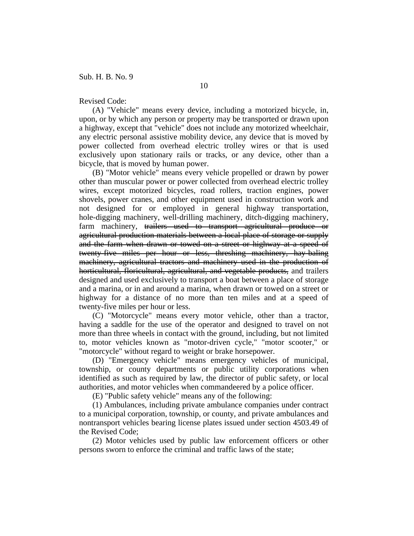Revised Code:

(A) "Vehicle" means every device, including a motorized bicycle, in, upon, or by which any person or property may be transported or drawn upon a highway, except that "vehicle" does not include any motorized wheelchair, any electric personal assistive mobility device, any device that is moved by power collected from overhead electric trolley wires or that is used exclusively upon stationary rails or tracks, or any device, other than a bicycle, that is moved by human power.

(B) "Motor vehicle" means every vehicle propelled or drawn by power other than muscular power or power collected from overhead electric trolley wires, except motorized bicycles, road rollers, traction engines, power shovels, power cranes, and other equipment used in construction work and not designed for or employed in general highway transportation, hole-digging machinery, well-drilling machinery, ditch-digging machinery, farm machinery, trailers used to transport agricultural produce or agricultural production materials between a local place of storage or supply and the farm when drawn or towed on a street or highway at a speed of twenty-five miles per hour or less, threshing machinery, hay-baling machinery, agricultural tractors and machinery used in the production of horticultural, floricultural, agricultural, and vegetable products, and trailers designed and used exclusively to transport a boat between a place of storage and a marina, or in and around a marina, when drawn or towed on a street or highway for a distance of no more than ten miles and at a speed of twenty-five miles per hour or less.

(C) "Motorcycle" means every motor vehicle, other than a tractor, having a saddle for the use of the operator and designed to travel on not more than three wheels in contact with the ground, including, but not limited to, motor vehicles known as "motor-driven cycle," "motor scooter," or "motorcycle" without regard to weight or brake horsepower.

(D) "Emergency vehicle" means emergency vehicles of municipal, township, or county departments or public utility corporations when identified as such as required by law, the director of public safety, or local authorities, and motor vehicles when commandeered by a police officer.

(E) "Public safety vehicle" means any of the following:

(1) Ambulances, including private ambulance companies under contract to a municipal corporation, township, or county, and private ambulances and nontransport vehicles bearing license plates issued under section 4503.49 of the Revised Code;

(2) Motor vehicles used by public law enforcement officers or other persons sworn to enforce the criminal and traffic laws of the state;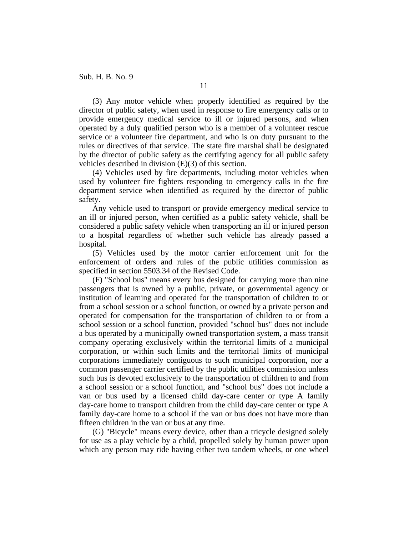(3) Any motor vehicle when properly identified as required by the director of public safety, when used in response to fire emergency calls or to provide emergency medical service to ill or injured persons, and when operated by a duly qualified person who is a member of a volunteer rescue service or a volunteer fire department, and who is on duty pursuant to the rules or directives of that service. The state fire marshal shall be designated by the director of public safety as the certifying agency for all public safety vehicles described in division (E)(3) of this section.

(4) Vehicles used by fire departments, including motor vehicles when used by volunteer fire fighters responding to emergency calls in the fire department service when identified as required by the director of public safety.

Any vehicle used to transport or provide emergency medical service to an ill or injured person, when certified as a public safety vehicle, shall be considered a public safety vehicle when transporting an ill or injured person to a hospital regardless of whether such vehicle has already passed a hospital.

(5) Vehicles used by the motor carrier enforcement unit for the enforcement of orders and rules of the public utilities commission as specified in section 5503.34 of the Revised Code.

(F) "School bus" means every bus designed for carrying more than nine passengers that is owned by a public, private, or governmental agency or institution of learning and operated for the transportation of children to or from a school session or a school function, or owned by a private person and operated for compensation for the transportation of children to or from a school session or a school function, provided "school bus" does not include a bus operated by a municipally owned transportation system, a mass transit company operating exclusively within the territorial limits of a municipal corporation, or within such limits and the territorial limits of municipal corporations immediately contiguous to such municipal corporation, nor a common passenger carrier certified by the public utilities commission unless such bus is devoted exclusively to the transportation of children to and from a school session or a school function, and "school bus" does not include a van or bus used by a licensed child day-care center or type A family day-care home to transport children from the child day-care center or type A family day-care home to a school if the van or bus does not have more than fifteen children in the van or bus at any time.

(G) "Bicycle" means every device, other than a tricycle designed solely for use as a play vehicle by a child, propelled solely by human power upon which any person may ride having either two tandem wheels, or one wheel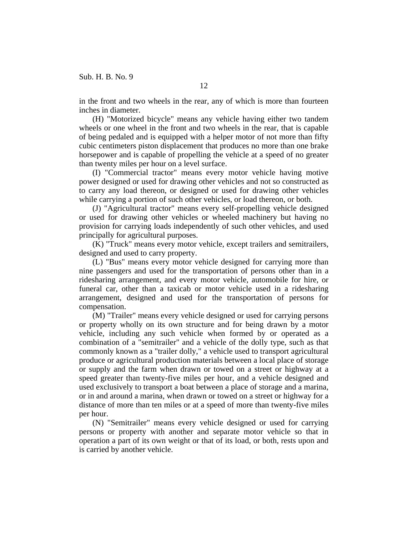in the front and two wheels in the rear, any of which is more than fourteen inches in diameter.

(H) "Motorized bicycle" means any vehicle having either two tandem wheels or one wheel in the front and two wheels in the rear, that is capable of being pedaled and is equipped with a helper motor of not more than fifty cubic centimeters piston displacement that produces no more than one brake horsepower and is capable of propelling the vehicle at a speed of no greater than twenty miles per hour on a level surface.

(I) "Commercial tractor" means every motor vehicle having motive power designed or used for drawing other vehicles and not so constructed as to carry any load thereon, or designed or used for drawing other vehicles while carrying a portion of such other vehicles, or load thereon, or both.

(J) "Agricultural tractor" means every self-propelling vehicle designed or used for drawing other vehicles or wheeled machinery but having no provision for carrying loads independently of such other vehicles, and used principally for agricultural purposes.

(K) "Truck" means every motor vehicle, except trailers and semitrailers, designed and used to carry property.

(L) "Bus" means every motor vehicle designed for carrying more than nine passengers and used for the transportation of persons other than in a ridesharing arrangement, and every motor vehicle, automobile for hire, or funeral car, other than a taxicab or motor vehicle used in a ridesharing arrangement, designed and used for the transportation of persons for compensation.

(M) "Trailer" means every vehicle designed or used for carrying persons or property wholly on its own structure and for being drawn by a motor vehicle, including any such vehicle when formed by or operated as a combination of a "semitrailer" and a vehicle of the dolly type, such as that commonly known as a "trailer dolly," a vehicle used to transport agricultural produce or agricultural production materials between a local place of storage or supply and the farm when drawn or towed on a street or highway at a speed greater than twenty-five miles per hour, and a vehicle designed and used exclusively to transport a boat between a place of storage and a marina, or in and around a marina, when drawn or towed on a street or highway for a distance of more than ten miles or at a speed of more than twenty-five miles per hour.

(N) "Semitrailer" means every vehicle designed or used for carrying persons or property with another and separate motor vehicle so that in operation a part of its own weight or that of its load, or both, rests upon and is carried by another vehicle.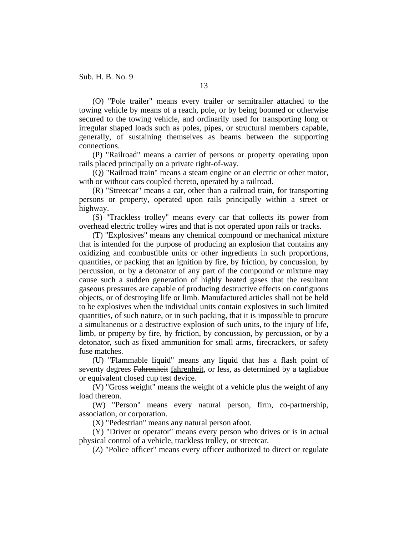(O) "Pole trailer" means every trailer or semitrailer attached to the towing vehicle by means of a reach, pole, or by being boomed or otherwise secured to the towing vehicle, and ordinarily used for transporting long or irregular shaped loads such as poles, pipes, or structural members capable, generally, of sustaining themselves as beams between the supporting connections.

(P) "Railroad" means a carrier of persons or property operating upon rails placed principally on a private right-of-way.

(Q) "Railroad train" means a steam engine or an electric or other motor, with or without cars coupled thereto, operated by a railroad.

(R) "Streetcar" means a car, other than a railroad train, for transporting persons or property, operated upon rails principally within a street or highway.

(S) "Trackless trolley" means every car that collects its power from overhead electric trolley wires and that is not operated upon rails or tracks.

(T) "Explosives" means any chemical compound or mechanical mixture that is intended for the purpose of producing an explosion that contains any oxidizing and combustible units or other ingredients in such proportions, quantities, or packing that an ignition by fire, by friction, by concussion, by percussion, or by a detonator of any part of the compound or mixture may cause such a sudden generation of highly heated gases that the resultant gaseous pressures are capable of producing destructive effects on contiguous objects, or of destroying life or limb. Manufactured articles shall not be held to be explosives when the individual units contain explosives in such limited quantities, of such nature, or in such packing, that it is impossible to procure a simultaneous or a destructive explosion of such units, to the injury of life, limb, or property by fire, by friction, by concussion, by percussion, or by a detonator, such as fixed ammunition for small arms, firecrackers, or safety fuse matches.

(U) "Flammable liquid" means any liquid that has a flash point of seventy degrees Fahrenheit fahrenheit, or less, as determined by a tagliabue or equivalent closed cup test device.

(V) "Gross weight" means the weight of a vehicle plus the weight of any load thereon.

(W) "Person" means every natural person, firm, co-partnership, association, or corporation.

(X) "Pedestrian" means any natural person afoot.

(Y) "Driver or operator" means every person who drives or is in actual physical control of a vehicle, trackless trolley, or streetcar.

(Z) "Police officer" means every officer authorized to direct or regulate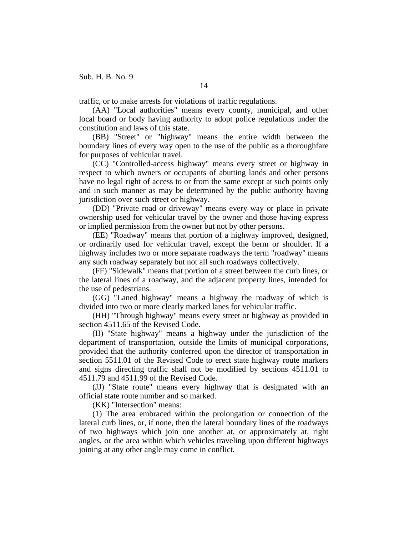traffic, or to make arrests for violations of traffic regulations.

(AA) "Local authorities" means every county, municipal, and other local board or body having authority to adopt police regulations under the constitution and laws of this state.

(BB) "Street" or "highway" means the entire width between the boundary lines of every way open to the use of the public as a thoroughfare for purposes of vehicular travel.

(CC) "Controlled-access highway" means every street or highway in respect to which owners or occupants of abutting lands and other persons have no legal right of access to or from the same except at such points only and in such manner as may be determined by the public authority having jurisdiction over such street or highway.

(DD) "Private road or driveway" means every way or place in private ownership used for vehicular travel by the owner and those having express or implied permission from the owner but not by other persons.

(EE) "Roadway" means that portion of a highway improved, designed, or ordinarily used for vehicular travel, except the berm or shoulder. If a highway includes two or more separate roadways the term "roadway" means any such roadway separately but not all such roadways collectively.

(FF) "Sidewalk" means that portion of a street between the curb lines, or the lateral lines of a roadway, and the adjacent property lines, intended for the use of pedestrians.

(GG) "Laned highway" means a highway the roadway of which is divided into two or more clearly marked lanes for vehicular traffic.

(HH) "Through highway" means every street or highway as provided in section 4511.65 of the Revised Code.

(II) "State highway" means a highway under the jurisdiction of the department of transportation, outside the limits of municipal corporations, provided that the authority conferred upon the director of transportation in section 5511.01 of the Revised Code to erect state highway route markers and signs directing traffic shall not be modified by sections 4511.01 to 4511.79 and 4511.99 of the Revised Code.

(JJ) "State route" means every highway that is designated with an official state route number and so marked.

(KK) "Intersection" means:

(1) The area embraced within the prolongation or connection of the lateral curb lines, or, if none, then the lateral boundary lines of the roadways of two highways which join one another at, or approximately at, right angles, or the area within which vehicles traveling upon different highways joining at any other angle may come in conflict.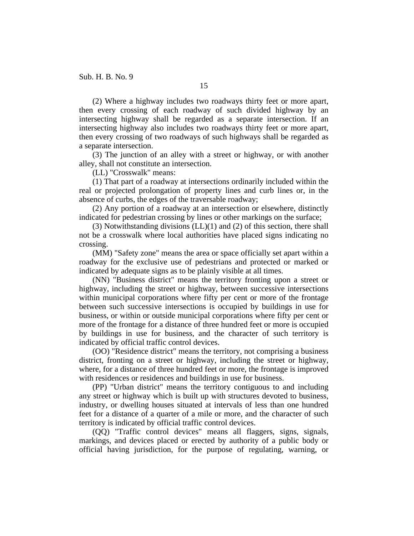(2) Where a highway includes two roadways thirty feet or more apart, then every crossing of each roadway of such divided highway by an intersecting highway shall be regarded as a separate intersection. If an intersecting highway also includes two roadways thirty feet or more apart, then every crossing of two roadways of such highways shall be regarded as a separate intersection.

(3) The junction of an alley with a street or highway, or with another alley, shall not constitute an intersection.

(LL) "Crosswalk" means:

(1) That part of a roadway at intersections ordinarily included within the real or projected prolongation of property lines and curb lines or, in the absence of curbs, the edges of the traversable roadway;

(2) Any portion of a roadway at an intersection or elsewhere, distinctly indicated for pedestrian crossing by lines or other markings on the surface;

(3) Notwithstanding divisions (LL)(1) and (2) of this section, there shall not be a crosswalk where local authorities have placed signs indicating no crossing.

(MM) "Safety zone" means the area or space officially set apart within a roadway for the exclusive use of pedestrians and protected or marked or indicated by adequate signs as to be plainly visible at all times.

(NN) "Business district" means the territory fronting upon a street or highway, including the street or highway, between successive intersections within municipal corporations where fifty per cent or more of the frontage between such successive intersections is occupied by buildings in use for business, or within or outside municipal corporations where fifty per cent or more of the frontage for a distance of three hundred feet or more is occupied by buildings in use for business, and the character of such territory is indicated by official traffic control devices.

(OO) "Residence district" means the territory, not comprising a business district, fronting on a street or highway, including the street or highway, where, for a distance of three hundred feet or more, the frontage is improved with residences or residences and buildings in use for business.

(PP) "Urban district" means the territory contiguous to and including any street or highway which is built up with structures devoted to business, industry, or dwelling houses situated at intervals of less than one hundred feet for a distance of a quarter of a mile or more, and the character of such territory is indicated by official traffic control devices.

(QQ) "Traffic control devices" means all flaggers, signs, signals, markings, and devices placed or erected by authority of a public body or official having jurisdiction, for the purpose of regulating, warning, or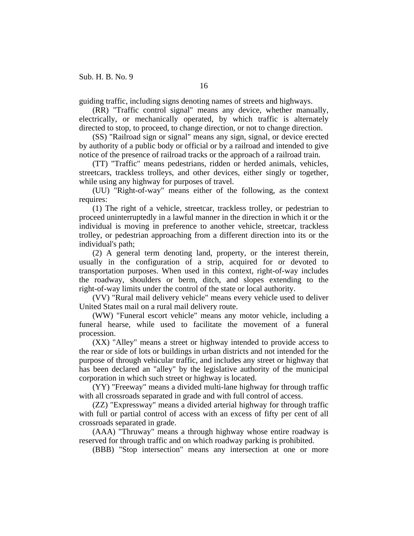16

guiding traffic, including signs denoting names of streets and highways.

(RR) "Traffic control signal" means any device, whether manually, electrically, or mechanically operated, by which traffic is alternately directed to stop, to proceed, to change direction, or not to change direction.

(SS) "Railroad sign or signal" means any sign, signal, or device erected by authority of a public body or official or by a railroad and intended to give notice of the presence of railroad tracks or the approach of a railroad train.

(TT) "Traffic" means pedestrians, ridden or herded animals, vehicles, streetcars, trackless trolleys, and other devices, either singly or together, while using any highway for purposes of travel.

(UU) "Right-of-way" means either of the following, as the context requires:

(1) The right of a vehicle, streetcar, trackless trolley, or pedestrian to proceed uninterruptedly in a lawful manner in the direction in which it or the individual is moving in preference to another vehicle, streetcar, trackless trolley, or pedestrian approaching from a different direction into its or the individual's path;

(2) A general term denoting land, property, or the interest therein, usually in the configuration of a strip, acquired for or devoted to transportation purposes. When used in this context, right-of-way includes the roadway, shoulders or berm, ditch, and slopes extending to the right-of-way limits under the control of the state or local authority.

(VV) "Rural mail delivery vehicle" means every vehicle used to deliver United States mail on a rural mail delivery route.

(WW) "Funeral escort vehicle" means any motor vehicle, including a funeral hearse, while used to facilitate the movement of a funeral procession.

(XX) "Alley" means a street or highway intended to provide access to the rear or side of lots or buildings in urban districts and not intended for the purpose of through vehicular traffic, and includes any street or highway that has been declared an "alley" by the legislative authority of the municipal corporation in which such street or highway is located.

(YY) "Freeway" means a divided multi-lane highway for through traffic with all crossroads separated in grade and with full control of access.

(ZZ) "Expressway" means a divided arterial highway for through traffic with full or partial control of access with an excess of fifty per cent of all crossroads separated in grade.

(AAA) "Thruway" means a through highway whose entire roadway is reserved for through traffic and on which roadway parking is prohibited.

(BBB) "Stop intersection" means any intersection at one or more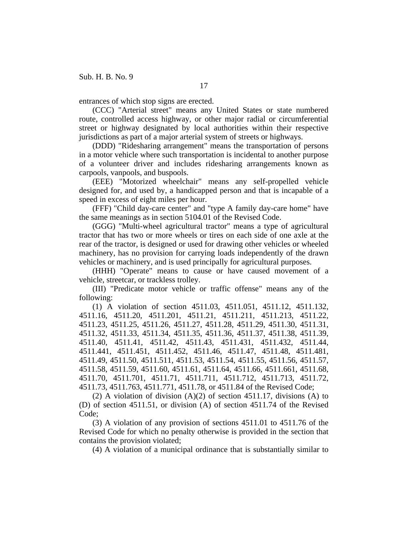entrances of which stop signs are erected.

(CCC) "Arterial street" means any United States or state numbered route, controlled access highway, or other major radial or circumferential street or highway designated by local authorities within their respective jurisdictions as part of a major arterial system of streets or highways.

(DDD) "Ridesharing arrangement" means the transportation of persons in a motor vehicle where such transportation is incidental to another purpose of a volunteer driver and includes ridesharing arrangements known as carpools, vanpools, and buspools.

(EEE) "Motorized wheelchair" means any self-propelled vehicle designed for, and used by, a handicapped person and that is incapable of a speed in excess of eight miles per hour.

(FFF) "Child day-care center" and "type A family day-care home" have the same meanings as in section 5104.01 of the Revised Code.

(GGG) "Multi-wheel agricultural tractor" means a type of agricultural tractor that has two or more wheels or tires on each side of one axle at the rear of the tractor, is designed or used for drawing other vehicles or wheeled machinery, has no provision for carrying loads independently of the drawn vehicles or machinery, and is used principally for agricultural purposes.

(HHH) "Operate" means to cause or have caused movement of a vehicle, streetcar, or trackless trolley.

(III) "Predicate motor vehicle or traffic offense" means any of the following:

(1) A violation of section 4511.03, 4511.051, 4511.12, 4511.132, 4511.16, 4511.20, 4511.201, 4511.21, 4511.211, 4511.213, 4511.22, 4511.23, 4511.25, 4511.26, 4511.27, 4511.28, 4511.29, 4511.30, 4511.31, 4511.32, 4511.33, 4511.34, 4511.35, 4511.36, 4511.37, 4511.38, 4511.39, 4511.40, 4511.41, 4511.42, 4511.43, 4511.431, 4511.432, 4511.44, 4511.441, 4511.451, 4511.452, 4511.46, 4511.47, 4511.48, 4511.481, 4511.49, 4511.50, 4511.511, 4511.53, 4511.54, 4511.55, 4511.56, 4511.57, 4511.58, 4511.59, 4511.60, 4511.61, 4511.64, 4511.66, 4511.661, 4511.68, 4511.70, 4511.701, 4511.71, 4511.711, 4511.712, 4511.713, 4511.72, 4511.73, 4511.763, 4511.771, 4511.78, or 4511.84 of the Revised Code;

(2) A violation of division  $(A)(2)$  of section 4511.17, divisions  $(A)$  to (D) of section 4511.51, or division (A) of section 4511.74 of the Revised Code;

(3) A violation of any provision of sections 4511.01 to 4511.76 of the Revised Code for which no penalty otherwise is provided in the section that contains the provision violated;

(4) A violation of a municipal ordinance that is substantially similar to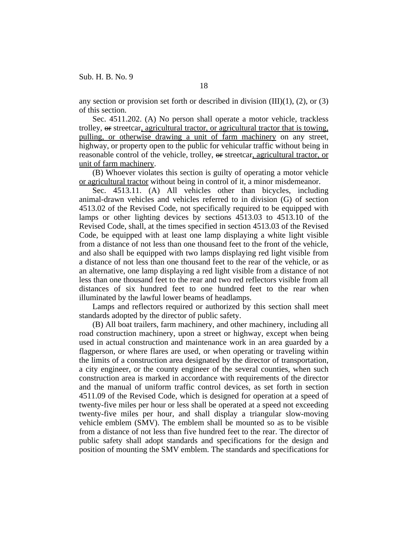any section or provision set forth or described in division  $(III)(1)$ ,  $(2)$ , or  $(3)$ of this section.

Sec. 4511.202. (A) No person shall operate a motor vehicle, trackless trolley, or streetcar, agricultural tractor, or agricultural tractor that is towing, pulling, or otherwise drawing a unit of farm machinery on any street, highway, or property open to the public for vehicular traffic without being in reasonable control of the vehicle, trolley, or streetcar, agricultural tractor, or unit of farm machinery.

(B) Whoever violates this section is guilty of operating a motor vehicle or agricultural tractor without being in control of it, a minor misdemeanor.

Sec. 4513.11. (A) All vehicles other than bicycles, including animal-drawn vehicles and vehicles referred to in division (G) of section 4513.02 of the Revised Code, not specifically required to be equipped with lamps or other lighting devices by sections 4513.03 to 4513.10 of the Revised Code, shall, at the times specified in section 4513.03 of the Revised Code, be equipped with at least one lamp displaying a white light visible from a distance of not less than one thousand feet to the front of the vehicle, and also shall be equipped with two lamps displaying red light visible from a distance of not less than one thousand feet to the rear of the vehicle, or as an alternative, one lamp displaying a red light visible from a distance of not less than one thousand feet to the rear and two red reflectors visible from all distances of six hundred feet to one hundred feet to the rear when illuminated by the lawful lower beams of headlamps.

Lamps and reflectors required or authorized by this section shall meet standards adopted by the director of public safety.

(B) All boat trailers, farm machinery, and other machinery, including all road construction machinery, upon a street or highway, except when being used in actual construction and maintenance work in an area guarded by a flagperson, or where flares are used, or when operating or traveling within the limits of a construction area designated by the director of transportation, a city engineer, or the county engineer of the several counties, when such construction area is marked in accordance with requirements of the director and the manual of uniform traffic control devices, as set forth in section 4511.09 of the Revised Code, which is designed for operation at a speed of twenty-five miles per hour or less shall be operated at a speed not exceeding twenty-five miles per hour, and shall display a triangular slow-moving vehicle emblem (SMV). The emblem shall be mounted so as to be visible from a distance of not less than five hundred feet to the rear. The director of public safety shall adopt standards and specifications for the design and position of mounting the SMV emblem. The standards and specifications for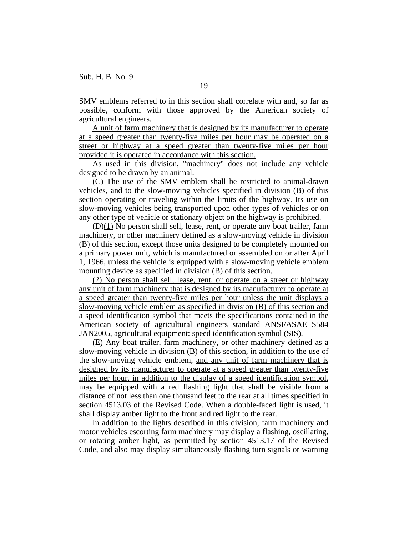SMV emblems referred to in this section shall correlate with and, so far as possible, conform with those approved by the American society of agricultural engineers.

A unit of farm machinery that is designed by its manufacturer to operate at a speed greater than twenty-five miles per hour may be operated on a street or highway at a speed greater than twenty-five miles per hour provided it is operated in accordance with this section.

As used in this division, "machinery" does not include any vehicle designed to be drawn by an animal.

(C) The use of the SMV emblem shall be restricted to animal-drawn vehicles, and to the slow-moving vehicles specified in division (B) of this section operating or traveling within the limits of the highway. Its use on slow-moving vehicles being transported upon other types of vehicles or on any other type of vehicle or stationary object on the highway is prohibited.

(D)(1) No person shall sell, lease, rent, or operate any boat trailer, farm machinery, or other machinery defined as a slow-moving vehicle in division (B) of this section, except those units designed to be completely mounted on a primary power unit, which is manufactured or assembled on or after April 1, 1966, unless the vehicle is equipped with a slow-moving vehicle emblem mounting device as specified in division (B) of this section.

(2) No person shall sell, lease, rent, or operate on a street or highway any unit of farm machinery that is designed by its manufacturer to operate at a speed greater than twenty-five miles per hour unless the unit displays a slow-moving vehicle emblem as specified in division (B) of this section and a speed identification symbol that meets the specifications contained in the American society of agricultural engineers standard ANSI/ASAE S584 JAN2005, agricultural equipment: speed identification symbol (SIS).

(E) Any boat trailer, farm machinery, or other machinery defined as a slow-moving vehicle in division (B) of this section, in addition to the use of the slow-moving vehicle emblem, and any unit of farm machinery that is designed by its manufacturer to operate at a speed greater than twenty-five miles per hour, in addition to the display of a speed identification symbol, may be equipped with a red flashing light that shall be visible from a distance of not less than one thousand feet to the rear at all times specified in section 4513.03 of the Revised Code. When a double-faced light is used, it shall display amber light to the front and red light to the rear.

In addition to the lights described in this division, farm machinery and motor vehicles escorting farm machinery may display a flashing, oscillating, or rotating amber light, as permitted by section 4513.17 of the Revised Code, and also may display simultaneously flashing turn signals or warning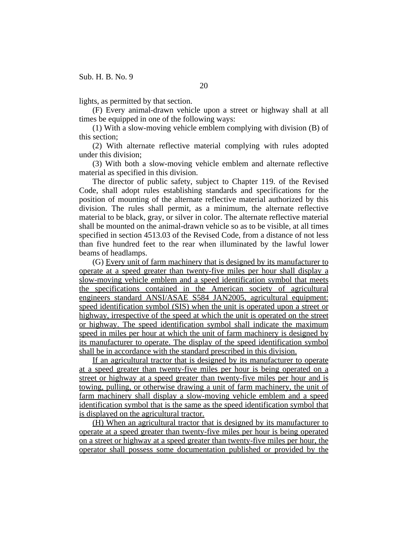lights, as permitted by that section.

(F) Every animal-drawn vehicle upon a street or highway shall at all times be equipped in one of the following ways:

(1) With a slow-moving vehicle emblem complying with division (B) of this section;

(2) With alternate reflective material complying with rules adopted under this division;

(3) With both a slow-moving vehicle emblem and alternate reflective material as specified in this division.

The director of public safety, subject to Chapter 119. of the Revised Code, shall adopt rules establishing standards and specifications for the position of mounting of the alternate reflective material authorized by this division. The rules shall permit, as a minimum, the alternate reflective material to be black, gray, or silver in color. The alternate reflective material shall be mounted on the animal-drawn vehicle so as to be visible, at all times specified in section 4513.03 of the Revised Code, from a distance of not less than five hundred feet to the rear when illuminated by the lawful lower beams of headlamps.

(G) Every unit of farm machinery that is designed by its manufacturer to operate at a speed greater than twenty-five miles per hour shall display a slow-moving vehicle emblem and a speed identification symbol that meets the specifications contained in the American society of agricultural engineers standard ANSI/ASAE S584 JAN2005, agricultural equipment: speed identification symbol (SIS) when the unit is operated upon a street or highway, irrespective of the speed at which the unit is operated on the street or highway. The speed identification symbol shall indicate the maximum speed in miles per hour at which the unit of farm machinery is designed by its manufacturer to operate. The display of the speed identification symbol shall be in accordance with the standard prescribed in this division.

If an agricultural tractor that is designed by its manufacturer to operate at a speed greater than twenty-five miles per hour is being operated on a street or highway at a speed greater than twenty-five miles per hour and is towing, pulling, or otherwise drawing a unit of farm machinery, the unit of farm machinery shall display a slow-moving vehicle emblem and a speed identification symbol that is the same as the speed identification symbol that is displayed on the agricultural tractor.

(H) When an agricultural tractor that is designed by its manufacturer to operate at a speed greater than twenty-five miles per hour is being operated on a street or highway at a speed greater than twenty-five miles per hour, the operator shall possess some documentation published or provided by the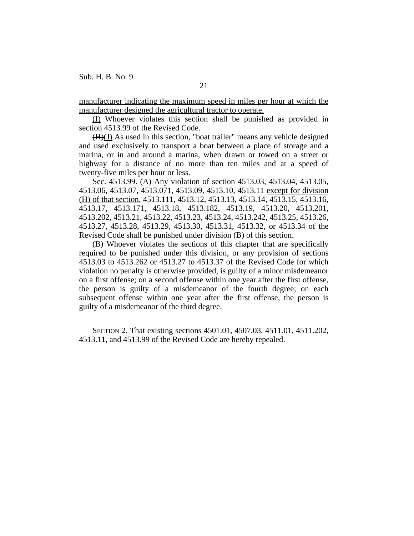manufacturer indicating the maximum speed in miles per hour at which the manufacturer designed the agricultural tractor to operate.

(I) Whoever violates this section shall be punished as provided in section 4513.99 of the Revised Code.

 $(H)(J)$  As used in this section, "boat trailer" means any vehicle designed and used exclusively to transport a boat between a place of storage and a marina, or in and around a marina, when drawn or towed on a street or highway for a distance of no more than ten miles and at a speed of twenty-five miles per hour or less.

Sec. 4513.99. (A) Any violation of section 4513.03, 4513.04, 4513.05, 4513.06, 4513.07, 4513.071, 4513.09, 4513.10, 4513.11 except for division (H) of that section, 4513.111, 4513.12, 4513.13, 4513.14, 4513.15, 4513.16, 4513.17, 4513.171, 4513.18, 4513.182, 4513.19, 4513.20, 4513.201, 4513.202, 4513.21, 4513.22, 4513.23, 4513.24, 4513.242, 4513.25, 4513.26, 4513.27, 4513.28, 4513.29, 4513.30, 4513.31, 4513.32, or 4513.34 of the Revised Code shall be punished under division (B) of this section.

(B) Whoever violates the sections of this chapter that are specifically required to be punished under this division, or any provision of sections 4513.03 to 4513.262 or 4513.27 to 4513.37 of the Revised Code for which violation no penalty is otherwise provided, is guilty of a minor misdemeanor on a first offense; on a second offense within one year after the first offense, the person is guilty of a misdemeanor of the fourth degree; on each subsequent offense within one year after the first offense, the person is guilty of a misdemeanor of the third degree.

SECTION 2. That existing sections 4501.01, 4507.03, 4511.01, 4511.202, 4513.11, and 4513.99 of the Revised Code are hereby repealed.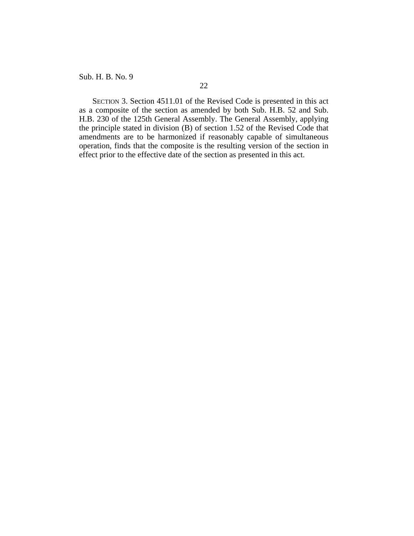22

SECTION 3. Section 4511.01 of the Revised Code is presented in this act as a composite of the section as amended by both Sub. H.B. 52 and Sub. H.B. 230 of the 125th General Assembly. The General Assembly, applying the principle stated in division (B) of section 1.52 of the Revised Code that amendments are to be harmonized if reasonably capable of simultaneous operation, finds that the composite is the resulting version of the section in effect prior to the effective date of the section as presented in this act.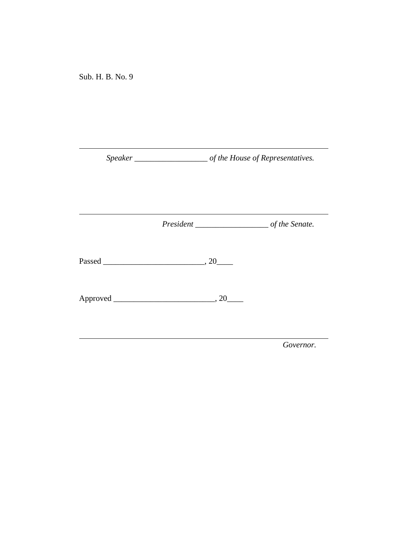*Governor.*